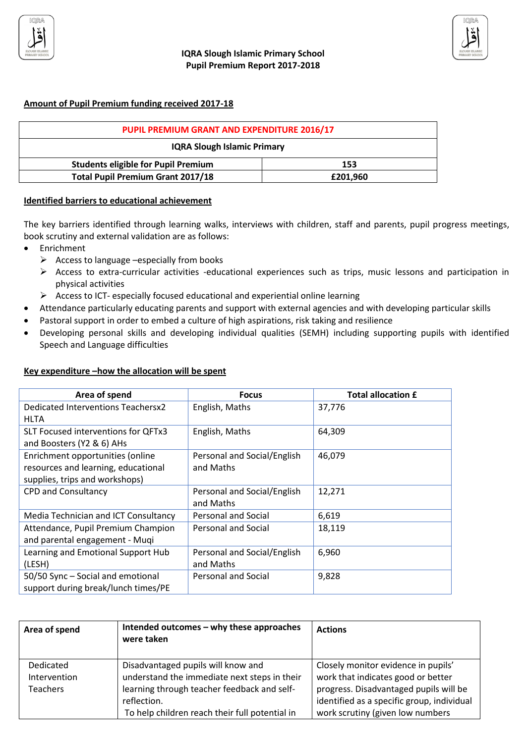

### **Amount of Pupil Premium funding received 2017-18**

| PUPIL PREMIUM GRANT AND EXPENDITURE 2016/17 |          |  |
|---------------------------------------------|----------|--|
| <b>IQRA Slough Islamic Primary</b>          |          |  |
| <b>Students eligible for Pupil Premium</b>  | 153      |  |
| <b>Total Pupil Premium Grant 2017/18</b>    | £201.960 |  |

### **Identified barriers to educational achievement**

The key barriers identified through learning walks, interviews with children, staff and parents, pupil progress meetings, book scrutiny and external validation are as follows:

- Enrichment
	- $\triangleright$  Access to language –especially from books
	- ➢ Access to extra-curricular activities -educational experiences such as trips, music lessons and participation in physical activities
	- ➢ Access to ICT- especially focused educational and experiential online learning
- Attendance particularly educating parents and support with external agencies and with developing particular skills
- Pastoral support in order to embed a culture of high aspirations, risk taking and resilience
- Developing personal skills and developing individual qualities (SEMH) including supporting pupils with identified Speech and Language difficulties

#### **Key expenditure –how the allocation will be spent**

| Area of spend                        | <b>Focus</b>                | <b>Total allocation £</b> |
|--------------------------------------|-----------------------------|---------------------------|
| Dedicated Interventions Teachersx2   | English, Maths              | 37,776                    |
| HLTA                                 |                             |                           |
| SLT Focused interventions for QFTx3  | English, Maths              | 64,309                    |
| and Boosters (Y2 & 6) AHs            |                             |                           |
| Enrichment opportunities (online     | Personal and Social/English | 46,079                    |
| resources and learning, educational  | and Maths                   |                           |
| supplies, trips and workshops)       |                             |                           |
| <b>CPD and Consultancy</b>           | Personal and Social/English | 12,271                    |
|                                      | and Maths                   |                           |
| Media Technician and ICT Consultancy | Personal and Social         | 6,619                     |
| Attendance, Pupil Premium Champion   | Personal and Social         | 18,119                    |
| and parental engagement - Muqi       |                             |                           |
| Learning and Emotional Support Hub   | Personal and Social/English | 6,960                     |
| (LESH)                               | and Maths                   |                           |
| 50/50 Sync - Social and emotional    | Personal and Social         | 9,828                     |
| support during break/lunch times/PE  |                             |                           |

| Area of spend                                | Intended outcomes - why these approaches<br>were taken                                                                                                                                             | <b>Actions</b>                                                                                                                                                                                        |
|----------------------------------------------|----------------------------------------------------------------------------------------------------------------------------------------------------------------------------------------------------|-------------------------------------------------------------------------------------------------------------------------------------------------------------------------------------------------------|
| Dedicated<br>Intervention<br><b>Teachers</b> | Disadvantaged pupils will know and<br>understand the immediate next steps in their<br>learning through teacher feedback and self-<br>reflection.<br>To help children reach their full potential in | Closely monitor evidence in pupils'<br>work that indicates good or better<br>progress. Disadvantaged pupils will be<br>identified as a specific group, individual<br>work scrutiny (given low numbers |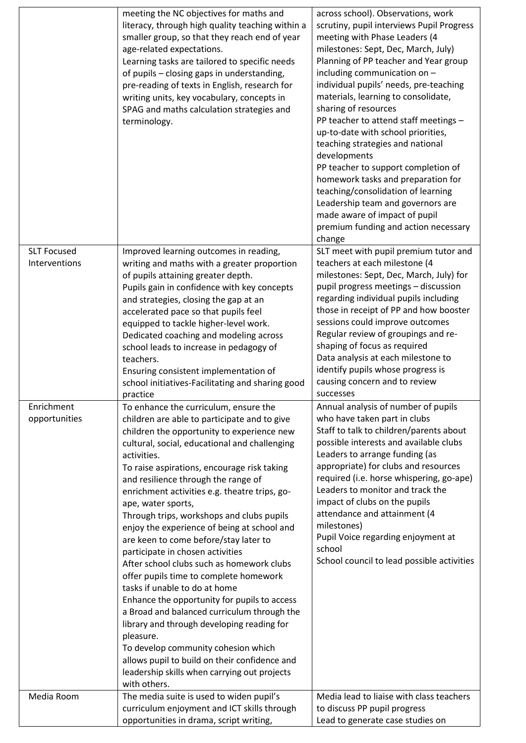|                                     | meeting the NC objectives for maths and<br>literacy, through high quality teaching within a<br>smaller group, so that they reach end of year<br>age-related expectations.<br>Learning tasks are tailored to specific needs<br>of pupils - closing gaps in understanding,<br>pre-reading of texts in English, research for<br>writing units, key vocabulary, concepts in<br>SPAG and maths calculation strategies and<br>terminology.                                                                                                                                                                                                                                                                                                                                                                                                                                                                                                                                                | across school). Observations, work<br>scrutiny, pupil interviews Pupil Progress<br>meeting with Phase Leaders (4<br>milestones: Sept, Dec, March, July)<br>Planning of PP teacher and Year group<br>including communication on -<br>individual pupils' needs, pre-teaching<br>materials, learning to consolidate,<br>sharing of resources<br>PP teacher to attend staff meetings -                                                                                                               |
|-------------------------------------|-------------------------------------------------------------------------------------------------------------------------------------------------------------------------------------------------------------------------------------------------------------------------------------------------------------------------------------------------------------------------------------------------------------------------------------------------------------------------------------------------------------------------------------------------------------------------------------------------------------------------------------------------------------------------------------------------------------------------------------------------------------------------------------------------------------------------------------------------------------------------------------------------------------------------------------------------------------------------------------|--------------------------------------------------------------------------------------------------------------------------------------------------------------------------------------------------------------------------------------------------------------------------------------------------------------------------------------------------------------------------------------------------------------------------------------------------------------------------------------------------|
|                                     |                                                                                                                                                                                                                                                                                                                                                                                                                                                                                                                                                                                                                                                                                                                                                                                                                                                                                                                                                                                     | up-to-date with school priorities,<br>teaching strategies and national<br>developments<br>PP teacher to support completion of<br>homework tasks and preparation for<br>teaching/consolidation of learning<br>Leadership team and governors are<br>made aware of impact of pupil<br>premium funding and action necessary<br>change                                                                                                                                                                |
| <b>SLT Focused</b><br>Interventions | Improved learning outcomes in reading,<br>writing and maths with a greater proportion<br>of pupils attaining greater depth.<br>Pupils gain in confidence with key concepts<br>and strategies, closing the gap at an<br>accelerated pace so that pupils feel<br>equipped to tackle higher-level work.<br>Dedicated coaching and modeling across<br>school leads to increase in pedagogy of<br>teachers.<br>Ensuring consistent implementation of<br>school initiatives-Facilitating and sharing good<br>practice                                                                                                                                                                                                                                                                                                                                                                                                                                                                     | SLT meet with pupil premium tutor and<br>teachers at each milestone (4<br>milestones: Sept, Dec, March, July) for<br>pupil progress meetings - discussion<br>regarding individual pupils including<br>those in receipt of PP and how booster<br>sessions could improve outcomes<br>Regular review of groupings and re-<br>shaping of focus as required<br>Data analysis at each milestone to<br>identify pupils whose progress is<br>causing concern and to review<br>successes                  |
| Enrichment<br>opportunities         | To enhance the curriculum, ensure the<br>children are able to participate and to give<br>children the opportunity to experience new<br>cultural, social, educational and challenging<br>activities.<br>To raise aspirations, encourage risk taking<br>and resilience through the range of<br>enrichment activities e.g. theatre trips, go-<br>ape, water sports,<br>Through trips, workshops and clubs pupils<br>enjoy the experience of being at school and<br>are keen to come before/stay later to<br>participate in chosen activities<br>After school clubs such as homework clubs<br>offer pupils time to complete homework<br>tasks if unable to do at home<br>Enhance the opportunity for pupils to access<br>a Broad and balanced curriculum through the<br>library and through developing reading for<br>pleasure.<br>To develop community cohesion which<br>allows pupil to build on their confidence and<br>leadership skills when carrying out projects<br>with others. | Annual analysis of number of pupils<br>who have taken part in clubs<br>Staff to talk to children/parents about<br>possible interests and available clubs<br>Leaders to arrange funding (as<br>appropriate) for clubs and resources<br>required (i.e. horse whispering, go-ape)<br>Leaders to monitor and track the<br>impact of clubs on the pupils<br>attendance and attainment (4<br>milestones)<br>Pupil Voice regarding enjoyment at<br>school<br>School council to lead possible activities |
| Media Room                          | The media suite is used to widen pupil's<br>curriculum enjoyment and ICT skills through<br>opportunities in drama, script writing,                                                                                                                                                                                                                                                                                                                                                                                                                                                                                                                                                                                                                                                                                                                                                                                                                                                  | Media lead to liaise with class teachers<br>to discuss PP pupil progress<br>Lead to generate case studies on                                                                                                                                                                                                                                                                                                                                                                                     |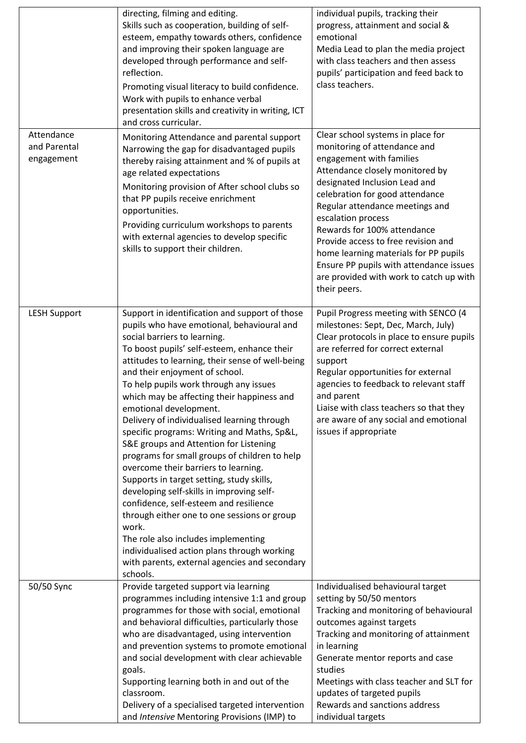|                                          | directing, filming and editing.<br>Skills such as cooperation, building of self-<br>esteem, empathy towards others, confidence<br>and improving their spoken language are<br>developed through performance and self-<br>reflection.<br>Promoting visual literacy to build confidence.<br>Work with pupils to enhance verbal<br>presentation skills and creativity in writing, ICT<br>and cross curricular.                                                                                                                                                                                                                                                                                                                                                                                                                                                                                                                                                          | individual pupils, tracking their<br>progress, attainment and social &<br>emotional<br>Media Lead to plan the media project<br>with class teachers and then assess<br>pupils' participation and feed back to<br>class teachers.                                                                                                                                                                                                                                                    |
|------------------------------------------|---------------------------------------------------------------------------------------------------------------------------------------------------------------------------------------------------------------------------------------------------------------------------------------------------------------------------------------------------------------------------------------------------------------------------------------------------------------------------------------------------------------------------------------------------------------------------------------------------------------------------------------------------------------------------------------------------------------------------------------------------------------------------------------------------------------------------------------------------------------------------------------------------------------------------------------------------------------------|------------------------------------------------------------------------------------------------------------------------------------------------------------------------------------------------------------------------------------------------------------------------------------------------------------------------------------------------------------------------------------------------------------------------------------------------------------------------------------|
| Attendance<br>and Parental<br>engagement | Monitoring Attendance and parental support<br>Narrowing the gap for disadvantaged pupils<br>thereby raising attainment and % of pupils at<br>age related expectations<br>Monitoring provision of After school clubs so<br>that PP pupils receive enrichment<br>opportunities.<br>Providing curriculum workshops to parents<br>with external agencies to develop specific<br>skills to support their children.                                                                                                                                                                                                                                                                                                                                                                                                                                                                                                                                                       | Clear school systems in place for<br>monitoring of attendance and<br>engagement with families<br>Attendance closely monitored by<br>designated Inclusion Lead and<br>celebration for good attendance<br>Regular attendance meetings and<br>escalation process<br>Rewards for 100% attendance<br>Provide access to free revision and<br>home learning materials for PP pupils<br>Ensure PP pupils with attendance issues<br>are provided with work to catch up with<br>their peers. |
| <b>LESH Support</b>                      | Support in identification and support of those<br>pupils who have emotional, behavioural and<br>social barriers to learning.<br>To boost pupils' self-esteem, enhance their<br>attitudes to learning, their sense of well-being<br>and their enjoyment of school.<br>To help pupils work through any issues<br>which may be affecting their happiness and<br>emotional development.<br>Delivery of individualised learning through<br>specific programs: Writing and Maths, Sp&L,<br>S&E groups and Attention for Listening<br>programs for small groups of children to help<br>overcome their barriers to learning.<br>Supports in target setting, study skills,<br>developing self-skills in improving self-<br>confidence, self-esteem and resilience<br>through either one to one sessions or group<br>work.<br>The role also includes implementing<br>individualised action plans through working<br>with parents, external agencies and secondary<br>schools. | Pupil Progress meeting with SENCO (4<br>milestones: Sept, Dec, March, July)<br>Clear protocols in place to ensure pupils<br>are referred for correct external<br>support<br>Regular opportunities for external<br>agencies to feedback to relevant staff<br>and parent<br>Liaise with class teachers so that they<br>are aware of any social and emotional<br>issues if appropriate                                                                                                |
| 50/50 Sync                               | Provide targeted support via learning<br>programmes including intensive 1:1 and group<br>programmes for those with social, emotional<br>and behavioral difficulties, particularly those<br>who are disadvantaged, using intervention<br>and prevention systems to promote emotional<br>and social development with clear achievable<br>goals.<br>Supporting learning both in and out of the<br>classroom.<br>Delivery of a specialised targeted intervention<br>and Intensive Mentoring Provisions (IMP) to                                                                                                                                                                                                                                                                                                                                                                                                                                                         | Individualised behavioural target<br>setting by 50/50 mentors<br>Tracking and monitoring of behavioural<br>outcomes against targets<br>Tracking and monitoring of attainment<br>in learning<br>Generate mentor reports and case<br>studies<br>Meetings with class teacher and SLT for<br>updates of targeted pupils<br>Rewards and sanctions address<br>individual targets                                                                                                         |